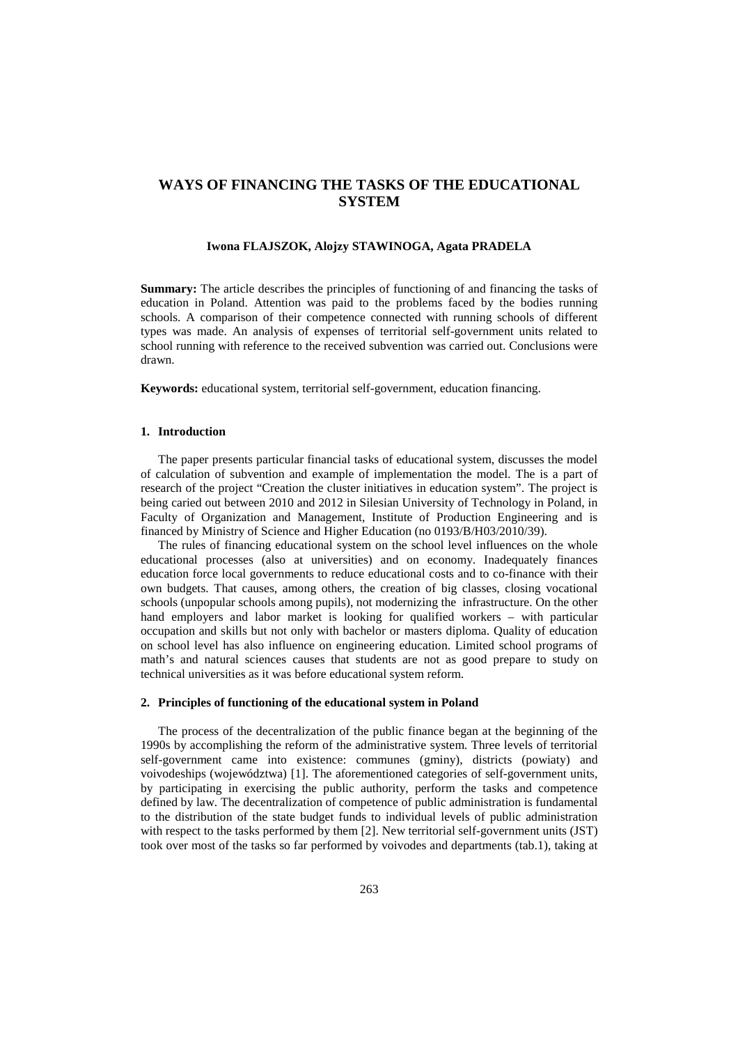# **WAYS OF FINANCING THE TASKS OF THE EDUCATIONAL SYSTEM**

### **Iwona FLAJSZOK, Alojzy STAWINOGA, Agata PRADELA**

**Summary:** The article describes the principles of functioning of and financing the tasks of education in Poland. Attention was paid to the problems faced by the bodies running schools. A comparison of their competence connected with running schools of different types was made. An analysis of expenses of territorial self-government units related to school running with reference to the received subvention was carried out. Conclusions were drawn.

**Keywords:** educational system, territorial self-government, education financing.

# **1. Introduction**

The paper presents particular financial tasks of educational system, discusses the model of calculation of subvention and example of implementation the model. The is a part of research of the project "Creation the cluster initiatives in education system". The project is being caried out between 2010 and 2012 in Silesian University of Technology in Poland, in Faculty of Organization and Management, Institute of Production Engineering and is financed by Ministry of Science and Higher Education (no 0193/B/H03/2010/39).

The rules of financing educational system on the school level influences on the whole educational processes (also at universities) and on economy. Inadequately finances education force local governments to reduce educational costs and to co-finance with their own budgets. That causes, among others, the creation of big classes, closing vocational schools (unpopular schools among pupils), not modernizing the infrastructure. On the other hand employers and labor market is looking for qualified workers – with particular occupation and skills but not only with bachelor or masters diploma. Quality of education on school level has also influence on engineering education. Limited school programs of math's and natural sciences causes that students are not as good prepare to study on technical universities as it was before educational system reform.

#### **2. Principles of functioning of the educational system in Poland**

The process of the decentralization of the public finance began at the beginning of the 1990s by accomplishing the reform of the administrative system. Three levels of territorial self-government came into existence: communes (gminy), districts (powiaty) and voivodeships (województwa) [1]. The aforementioned categories of self-government units, by participating in exercising the public authority, perform the tasks and competence defined by law. The decentralization of competence of public administration is fundamental to the distribution of the state budget funds to individual levels of public administration with respect to the tasks performed by them [2]. New territorial self-government units (JST) took over most of the tasks so far performed by voivodes and departments (tab.1), taking at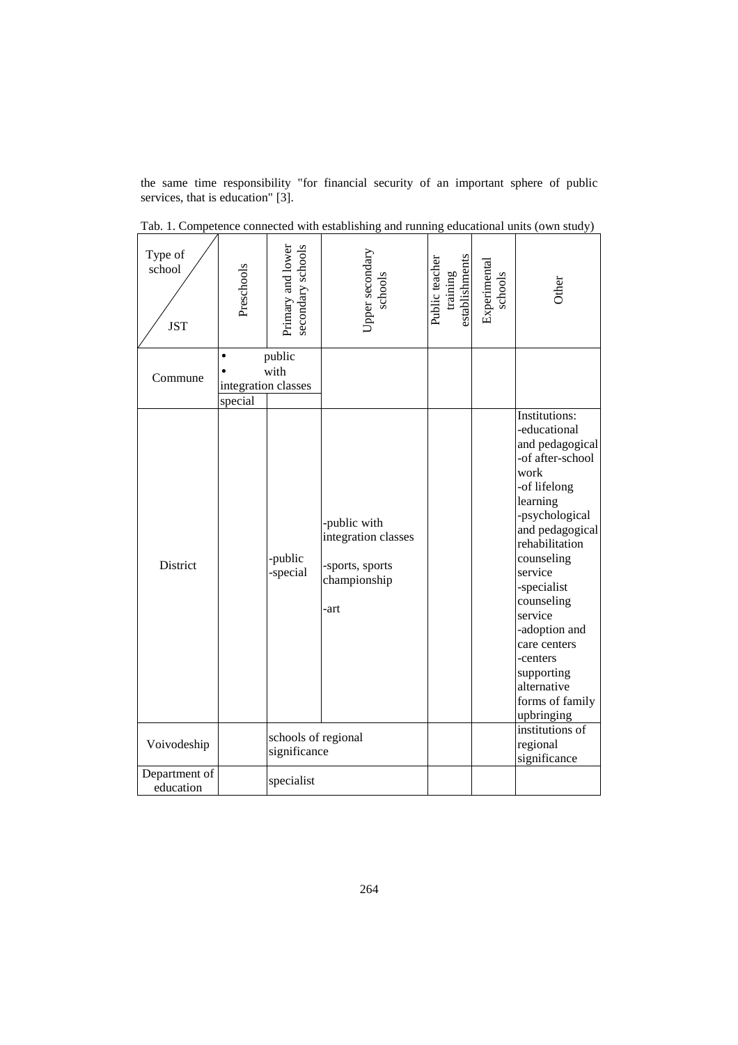the same time responsibility "for financial security of an important sphere of public services, that is education" [3].

| Type of<br>school<br><b>JST</b> | Preschools                                                    | Primary and lower<br>secondary schools | Upper secondary<br>schools                                                     | establishments<br>Public teacher<br>training | Experimental<br>schools | Other                                                                                                                                                                                                                                                                                                                                                                 |
|---------------------------------|---------------------------------------------------------------|----------------------------------------|--------------------------------------------------------------------------------|----------------------------------------------|-------------------------|-----------------------------------------------------------------------------------------------------------------------------------------------------------------------------------------------------------------------------------------------------------------------------------------------------------------------------------------------------------------------|
| Commune                         | public<br>$\bullet$<br>with<br>integration classes<br>special |                                        |                                                                                |                                              |                         |                                                                                                                                                                                                                                                                                                                                                                       |
| District                        |                                                               | -public<br>-special                    | -public with<br>integration classes<br>-sports, sports<br>championship<br>-art |                                              |                         | <b>Institutions:</b><br>-educational<br>and pedagogical<br>-of after-school<br>work<br>-of lifelong<br>learning<br>-psychological<br>and pedagogical<br>rehabilitation<br>counseling<br>service<br>-specialist<br>counseling<br>service<br>-adoption and<br>care centers<br>-centers<br>supporting<br>alternative<br>forms of family<br>upbringing<br>institutions of |
| Voivodeship                     |                                                               | schools of regional<br>significance    |                                                                                |                                              |                         | regional<br>significance                                                                                                                                                                                                                                                                                                                                              |
| Department of<br>education      |                                                               | specialist                             |                                                                                |                                              |                         |                                                                                                                                                                                                                                                                                                                                                                       |

Tab. 1. Competence connected with establishing and running educational units (own study)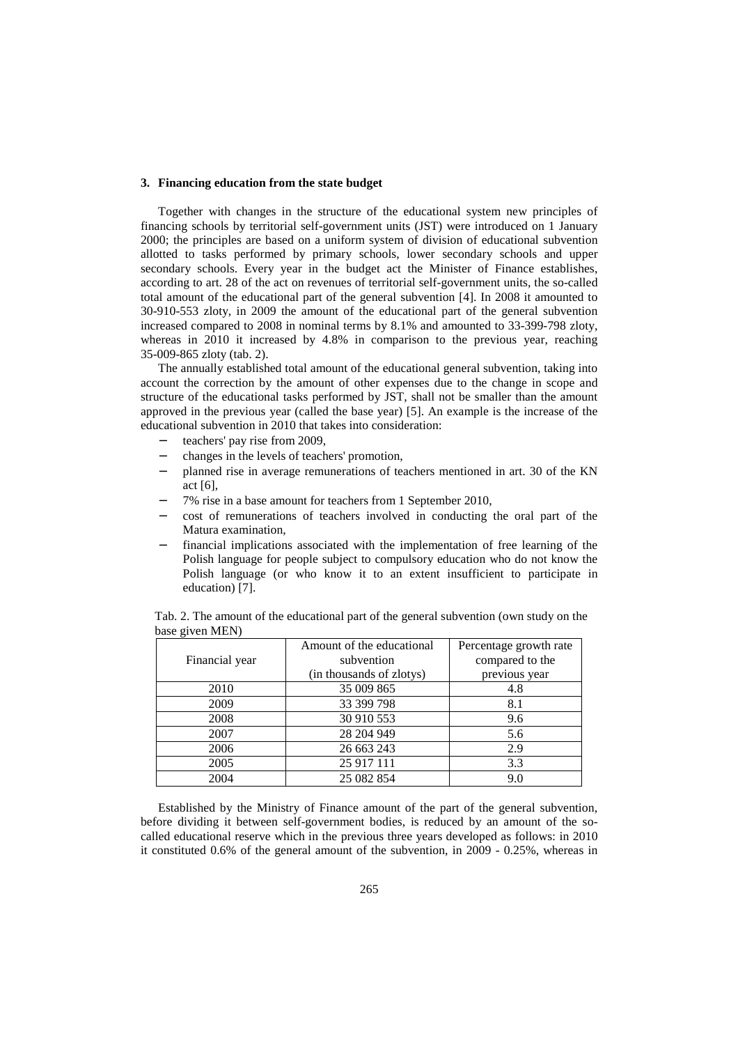#### **3. Financing education from the state budget**

Together with changes in the structure of the educational system new principles of financing schools by territorial self-government units (JST) were introduced on 1 January 2000; the principles are based on a uniform system of division of educational subvention allotted to tasks performed by primary schools, lower secondary schools and upper secondary schools. Every year in the budget act the Minister of Finance establishes, according to art. 28 of the act on revenues of territorial self-government units, the so-called total amount of the educational part of the general subvention [4]. In 2008 it amounted to 30-910-553 zloty, in 2009 the amount of the educational part of the general subvention increased compared to 2008 in nominal terms by 8.1% and amounted to 33-399-798 zloty, whereas in 2010 it increased by 4.8% in comparison to the previous year, reaching 35-009-865 zloty (tab. 2).

The annually established total amount of the educational general subvention, taking into account the correction by the amount of other expenses due to the change in scope and structure of the educational tasks performed by JST, shall not be smaller than the amount approved in the previous year (called the base year) [5]. An example is the increase of the educational subvention in 2010 that takes into consideration:

- teachers' pay rise from 2009,
- − changes in the levels of teachers' promotion,
- planned rise in average remunerations of teachers mentioned in art. 30 of the KN act [6],
- − 7% rise in a base amount for teachers from 1 September 2010,
- − cost of remunerations of teachers involved in conducting the oral part of the Matura examination,
- financial implications associated with the implementation of free learning of the Polish language for people subject to compulsory education who do not know the Polish language (or who know it to an extent insufficient to participate in education) [7].

|                | Amount of the educational<br>subvention | Percentage growth rate           |  |  |
|----------------|-----------------------------------------|----------------------------------|--|--|
| Financial year | (in thousands of zlotys)                | compared to the<br>previous year |  |  |
|                |                                         |                                  |  |  |
| 2010           | 35 009 865                              | 4.8                              |  |  |
| 2009           | 33 399 798                              | 8.1                              |  |  |
| 2008           | 30 910 553                              | 9.6                              |  |  |
| 2007           | 28 204 949                              | 5.6                              |  |  |
| 2006           | 26 663 243                              | 2.9                              |  |  |
| 2005           | 25 917 111                              | 3.3                              |  |  |
| 2004           | 25 082 854                              | 9.0                              |  |  |

Tab. 2. The amount of the educational part of the general subvention (own study on the base given MEN)

Established by the Ministry of Finance amount of the part of the general subvention, before dividing it between self-government bodies, is reduced by an amount of the socalled educational reserve which in the previous three years developed as follows: in 2010 it constituted 0.6% of the general amount of the subvention, in 2009 - 0.25%, whereas in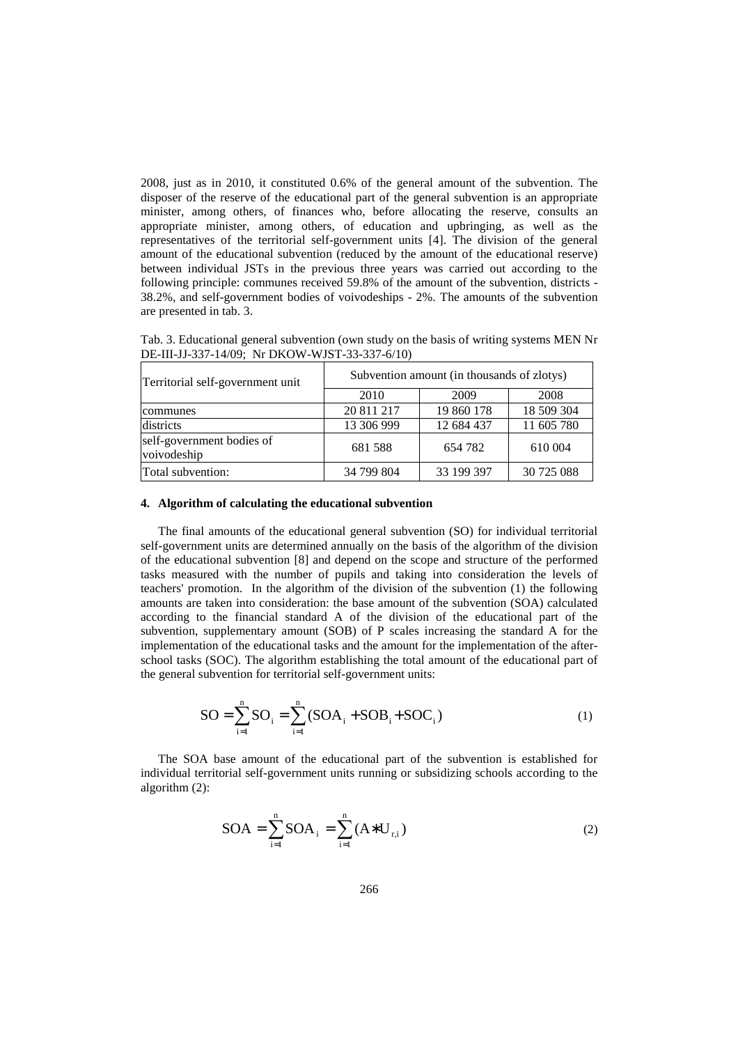2008, just as in 2010, it constituted 0.6% of the general amount of the subvention. The disposer of the reserve of the educational part of the general subvention is an appropriate minister, among others, of finances who, before allocating the reserve, consults an appropriate minister, among others, of education and upbringing, as well as the representatives of the territorial self-government units [4]. The division of the general amount of the educational subvention (reduced by the amount of the educational reserve) between individual JSTs in the previous three years was carried out according to the following principle: communes received 59.8% of the amount of the subvention, districts - 38.2%, and self-government bodies of voivodeships - 2%. The amounts of the subvention are presented in tab. 3.

Tab. 3. Educational general subvention (own study on the basis of writing systems MEN Nr DE-III-JJ-337-14/09; Nr DKOW-WJST-33-337-6/10)

| Territorial self-government unit         | Subvention amount (in thousands of zlotys) |            |            |  |
|------------------------------------------|--------------------------------------------|------------|------------|--|
|                                          | 2010                                       | 2009       | 2008       |  |
| communes                                 | 20 811 217                                 | 19 860 178 | 18 509 304 |  |
| districts                                | 13 306 999                                 | 12 684 437 | 11 605 780 |  |
| self-government bodies of<br>voivodeship | 681 588                                    | 654 782    | 610 004    |  |
| Total subvention:                        | 34 799 804                                 | 33 199 397 | 30 725 088 |  |

### **4. Algorithm of calculating the educational subvention**

The final amounts of the educational general subvention (SO) for individual territorial self-government units are determined annually on the basis of the algorithm of the division of the educational subvention [8] and depend on the scope and structure of the performed tasks measured with the number of pupils and taking into consideration the levels of teachers' promotion. In the algorithm of the division of the subvention (1) the following amounts are taken into consideration: the base amount of the subvention (SOA) calculated according to the financial standard A of the division of the educational part of the subvention, supplementary amount (SOB) of P scales increasing the standard A for the implementation of the educational tasks and the amount for the implementation of the afterschool tasks (SOC). The algorithm establishing the total amount of the educational part of the general subvention for territorial self-government units:

$$
SO = \sum_{i=1}^{n} SO_i = \sum_{i=1}^{n} (SOA_i + SOB_i + SOC_i)
$$
 (1)

The SOA base amount of the educational part of the subvention is established for individual territorial self-government units running or subsidizing schools according to the algorithm (2):

$$
SOA = \sum_{i=1}^{n} SOA_{i} = \sum_{i=1}^{n} (A \ast U_{r,i})
$$
 (2)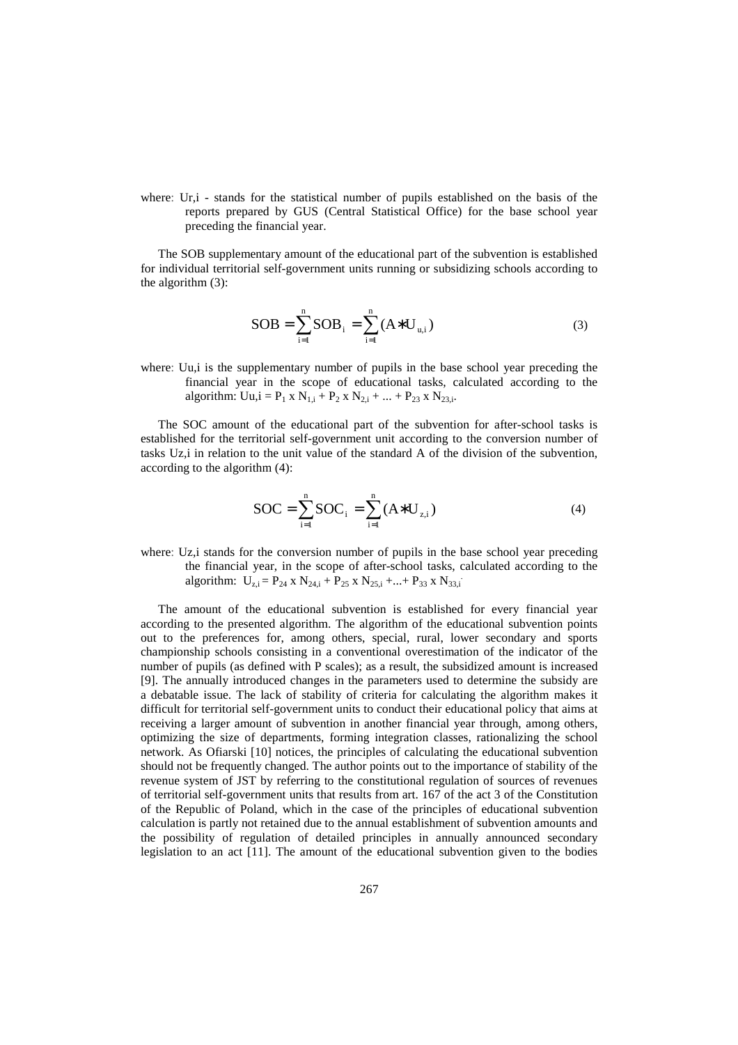where: Ur,i - stands for the statistical number of pupils established on the basis of the reports prepared by GUS (Central Statistical Office) for the base school year preceding the financial year.

The SOB supplementary amount of the educational part of the subvention is established for individual territorial self-government units running or subsidizing schools according to the algorithm (3):

$$
SOB = \sum_{i=1}^{n} SOB_i = \sum_{i=1}^{n} (A * U_{u,i})
$$
 (3)

where: Uu,i is the supplementary number of pupils in the base school year preceding the financial year in the scope of educational tasks, calculated according to the algorithm:  $Uu$ , $i = P_1 x N_{1,i} + P_2 x N_{2,i} + ... + P_{23} x N_{23,i}$ .

The SOC amount of the educational part of the subvention for after-school tasks is established for the territorial self-government unit according to the conversion number of tasks Uz,i in relation to the unit value of the standard A of the division of the subvention, according to the algorithm (4):

$$
SOC = \sum_{i=1}^{n} SOC_i = \sum_{i=1}^{n} (A * U_{z,i})
$$
 (4)

where: Uz,i stands for the conversion number of pupils in the base school year preceding the financial year, in the scope of after-school tasks, calculated according to the algorithm:  $U_{z,i} = P_{24} \times N_{24,i} + P_{25} \times N_{25,i} + ... + P_{33} \times N_{33,i}$ 

The amount of the educational subvention is established for every financial year according to the presented algorithm. The algorithm of the educational subvention points out to the preferences for, among others, special, rural, lower secondary and sports championship schools consisting in a conventional overestimation of the indicator of the number of pupils (as defined with P scales); as a result, the subsidized amount is increased [9]. The annually introduced changes in the parameters used to determine the subsidy are a debatable issue. The lack of stability of criteria for calculating the algorithm makes it difficult for territorial self-government units to conduct their educational policy that aims at receiving a larger amount of subvention in another financial year through, among others, optimizing the size of departments, forming integration classes, rationalizing the school network. As Ofiarski [10] notices, the principles of calculating the educational subvention should not be frequently changed. The author points out to the importance of stability of the revenue system of JST by referring to the constitutional regulation of sources of revenues of territorial self-government units that results from art. 167 of the act 3 of the Constitution of the Republic of Poland, which in the case of the principles of educational subvention calculation is partly not retained due to the annual establishment of subvention amounts and the possibility of regulation of detailed principles in annually announced secondary legislation to an act [11]. The amount of the educational subvention given to the bodies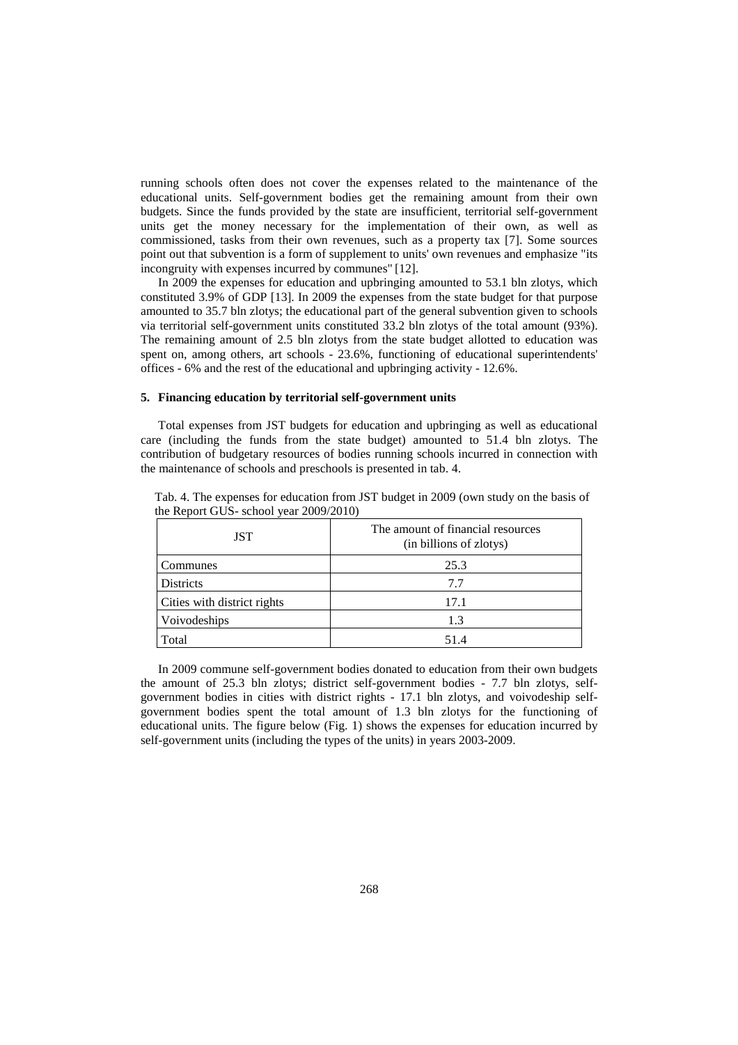running schools often does not cover the expenses related to the maintenance of the educational units. Self-government bodies get the remaining amount from their own budgets. Since the funds provided by the state are insufficient, territorial self-government units get the money necessary for the implementation of their own, as well as commissioned, tasks from their own revenues, such as a property tax [7]. Some sources point out that subvention is a form of supplement to units' own revenues and emphasize "its incongruity with expenses incurred by communes" [12].

In 2009 the expenses for education and upbringing amounted to 53.1 bln zlotys, which constituted 3.9% of GDP [13]. In 2009 the expenses from the state budget for that purpose amounted to 35.7 bln zlotys; the educational part of the general subvention given to schools via territorial self-government units constituted 33.2 bln zlotys of the total amount (93%). The remaining amount of 2.5 bln zlotys from the state budget allotted to education was spent on, among others, art schools - 23.6%, functioning of educational superintendents' offices - 6% and the rest of the educational and upbringing activity - 12.6%.

### **5. Financing education by territorial self-government units**

Total expenses from JST budgets for education and upbringing as well as educational care (including the funds from the state budget) amounted to 51.4 bln zlotys. The contribution of budgetary resources of bodies running schools incurred in connection with the maintenance of schools and preschools is presented in tab. 4.

| JST                         | The amount of financial resources<br>(in billions of zlotys) |  |  |  |
|-----------------------------|--------------------------------------------------------------|--|--|--|
| Communes                    | 25.3                                                         |  |  |  |
| <b>Districts</b>            | 7.7                                                          |  |  |  |
| Cities with district rights | 17.1                                                         |  |  |  |
| Voivodeships                | 1.3                                                          |  |  |  |
| Total                       | 51.4                                                         |  |  |  |

Tab. 4. The expenses for education from JST budget in 2009 (own study on the basis of the Report GUS- school year 2009/2010)

In 2009 commune self-government bodies donated to education from their own budgets the amount of 25.3 bln zlotys; district self-government bodies - 7.7 bln zlotys, selfgovernment bodies in cities with district rights - 17.1 bln zlotys, and voivodeship selfgovernment bodies spent the total amount of 1.3 bln zlotys for the functioning of educational units. The figure below (Fig. 1) shows the expenses for education incurred by self-government units (including the types of the units) in years 2003-2009.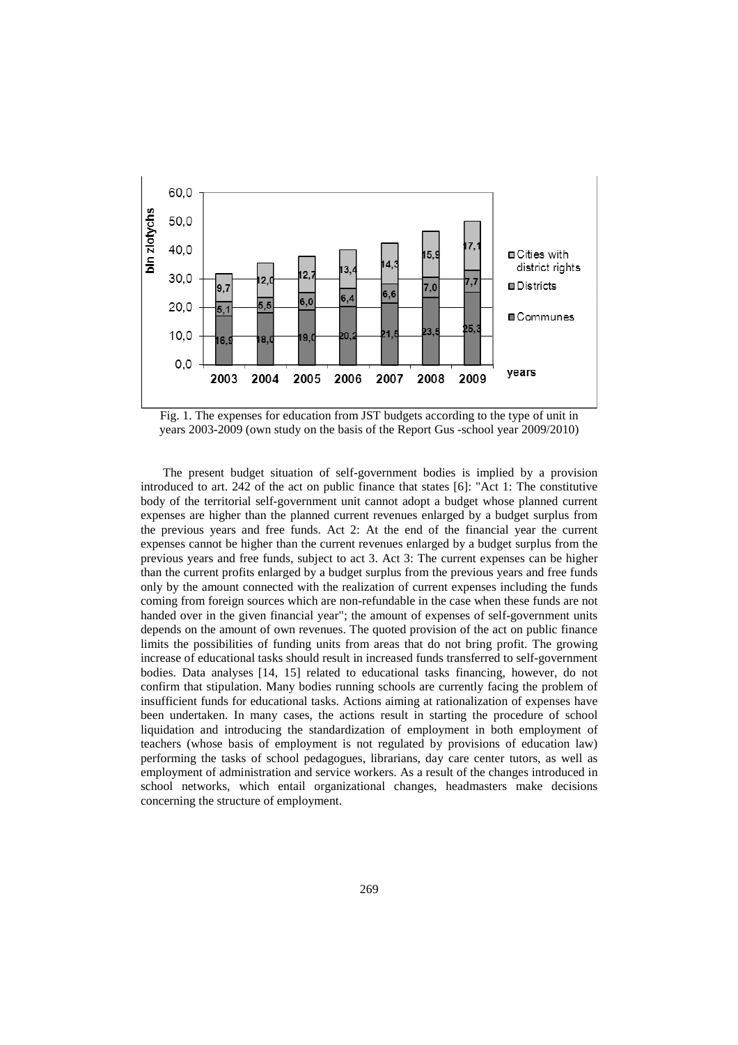

Fig. 1. The expenses for education from JST budgets according to the type of unit in years 2003-2009 (own study on the basis of the Report Gus -school year 2009/2010)

The present budget situation of self-government bodies is implied by a provision introduced to art. 242 of the act on public finance that states [6]: "Act 1: The constitutive body of the territorial self-government unit cannot adopt a budget whose planned current expenses are higher than the planned current revenues enlarged by a budget surplus from the previous years and free funds. Act 2: At the end of the financial year the current expenses cannot be higher than the current revenues enlarged by a budget surplus from the previous years and free funds, subject to act 3. Act 3: The current expenses can be higher than the current profits enlarged by a budget surplus from the previous years and free funds only by the amount connected with the realization of current expenses including the funds coming from foreign sources which are non-refundable in the case when these funds are not handed over in the given financial year"; the amount of expenses of self-government units depends on the amount of own revenues. The quoted provision of the act on public finance limits the possibilities of funding units from areas that do not bring profit. The growing increase of educational tasks should result in increased funds transferred to self-government bodies. Data analyses [14, 15] related to educational tasks financing, however, do not confirm that stipulation. Many bodies running schools are currently facing the problem of insufficient funds for educational tasks. Actions aiming at rationalization of expenses have been undertaken. In many cases, the actions result in starting the procedure of school liquidation and introducing the standardization of employment in both employment of teachers (whose basis of employment is not regulated by provisions of education law) performing the tasks of school pedagogues, librarians, day care center tutors, as well as employment of administration and service workers. As a result of the changes introduced in school networks, which entail organizational changes, headmasters make decisions concerning the structure of employment.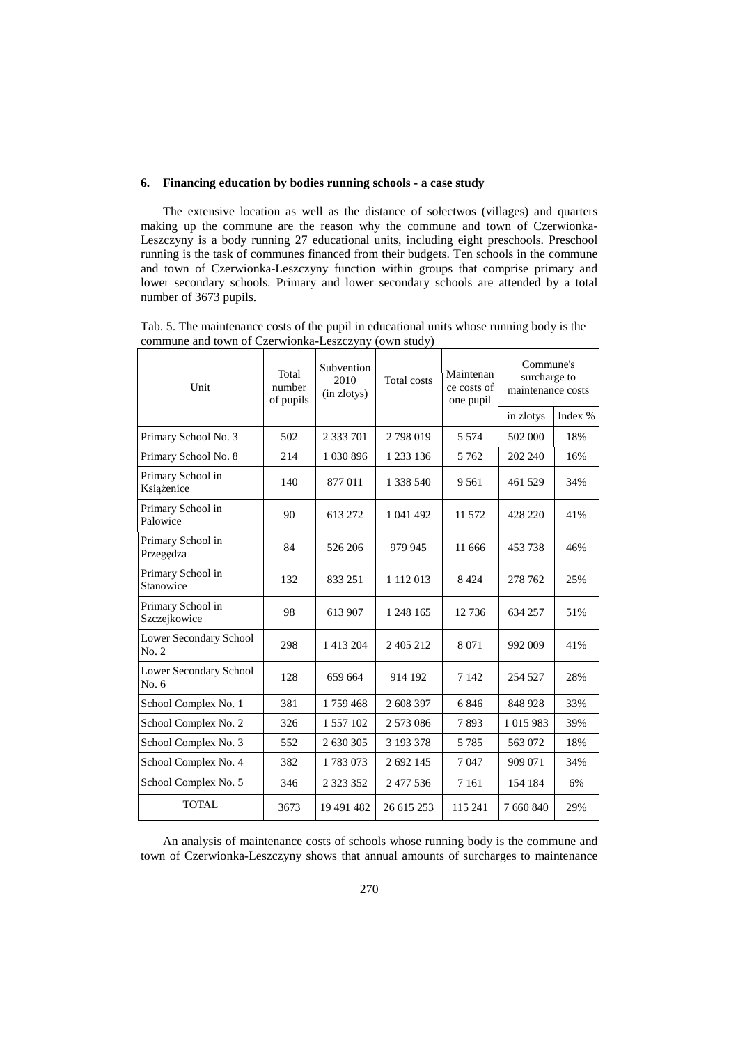# **6. Financing education by bodies running schools - a case study**

The extensive location as well as the distance of sołectwos (villages) and quarters making up the commune are the reason why the commune and town of Czerwionka-Leszczyny is a body running 27 educational units, including eight preschools. Preschool running is the task of communes financed from their budgets. Ten schools in the commune and town of Czerwionka-Leszczyny function within groups that comprise primary and lower secondary schools. Primary and lower secondary schools are attended by a total number of 3673 pupils.

Tab. 5. The maintenance costs of the pupil in educational units whose running body is the commune and town of Czerwionka-Leszczyny (own study)

| Unit                              | Total<br>number<br>of pupils | Subvention<br>2010<br>(in zlotys) | <b>Total</b> costs | Maintenan<br>ce costs of<br>one pupil | Commune's<br>surcharge to<br>maintenance costs |         |
|-----------------------------------|------------------------------|-----------------------------------|--------------------|---------------------------------------|------------------------------------------------|---------|
|                                   |                              |                                   |                    |                                       | in zlotys                                      | Index % |
| Primary School No. 3              | 502                          | 2 333 701                         | 2798019            | 5 5 7 4                               | 502 000                                        | 18%     |
| Primary School No. 8              | 214                          | 1 030 896                         | 1 233 136          | 5 7 6 2                               | 202 240                                        | 16%     |
| Primary School in<br>Książenice   | 140                          | 877011                            | 1 338 540          | 9 5 6 1                               | 461 529                                        | 34%     |
| Primary School in<br>Palowice     | 90                           | 613 272                           | 1 041 492          | 11 572                                | 428 220                                        | 41%     |
| Primary School in<br>Przegędza    | 84                           | 526 206                           | 979 945            | 11 666                                | 453738                                         | 46%     |
| Primary School in<br>Stanowice    | 132                          | 833 251                           | 1 112 013          | 8 4 2 4                               | 278 762                                        | 25%     |
| Primary School in<br>Szczejkowice | 98                           | 613 907                           | 1 248 165          | 12 7 36                               | 634 257                                        | 51%     |
| Lower Secondary School<br>No. 2   | 298                          | 1 413 204                         | 2 405 212          | 8 0 7 1                               | 992 009                                        | 41%     |
| Lower Secondary School<br>No. 6   | 128                          | 659 664                           | 914 192            | 7 1 4 2                               | 254 527                                        | 28%     |
| School Complex No. 1              | 381                          | 1759468                           | 2 608 397          | 6846                                  | 848 928                                        | 33%     |
| School Complex No. 2              | 326                          | 1 557 102                         | 2 573 086          | 7893                                  | 1 015 983                                      | 39%     |
| School Complex No. 3              | 552                          | 2 630 305                         | 3 193 378          | 5 7 8 5                               | 563 072                                        | 18%     |
| School Complex No. 4              | 382                          | 1783073                           | 2 692 145          | 7047                                  | 909 071                                        | 34%     |
| School Complex No. 5              | 346                          | 2 3 2 3 3 5 2                     | 2 477 536          | 7 1 6 1                               | 154 184                                        | 6%      |
| TOTAL                             | 3673                         | 19 491 482                        | 26 615 253         | 115 241                               | 7 660 840                                      | 29%     |

An analysis of maintenance costs of schools whose running body is the commune and town of Czerwionka-Leszczyny shows that annual amounts of surcharges to maintenance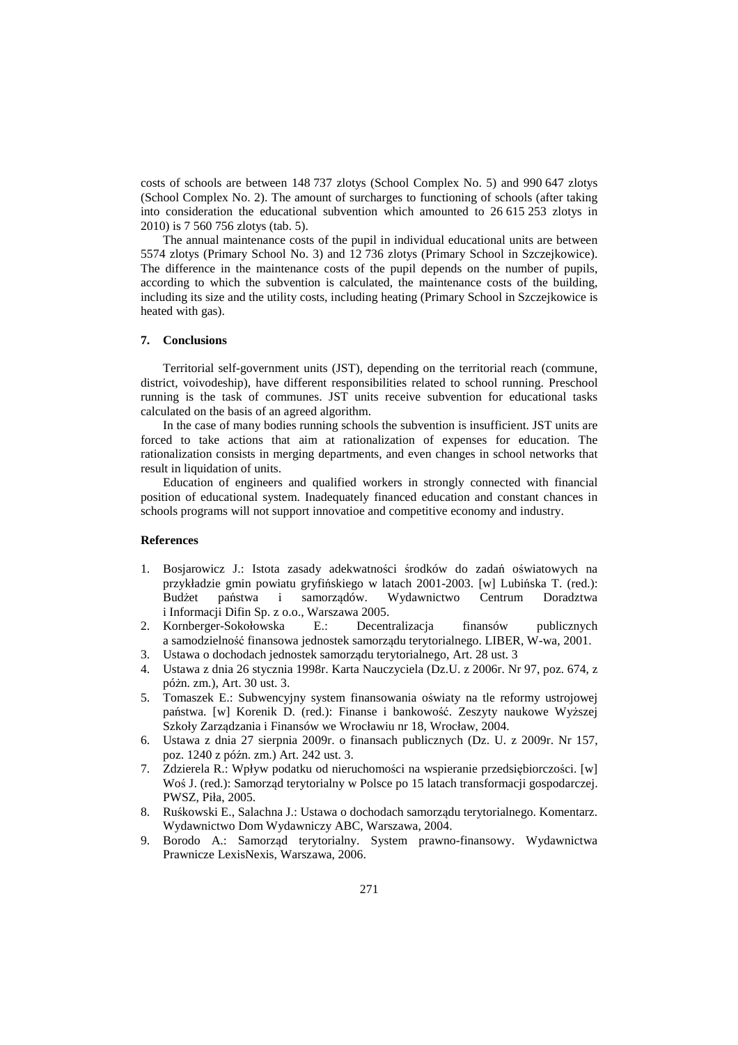costs of schools are between 148 737 zlotys (School Complex No. 5) and 990 647 zlotys (School Complex No. 2). The amount of surcharges to functioning of schools (after taking into consideration the educational subvention which amounted to 26 615 253 zlotys in 2010) is 7 560 756 zlotys (tab. 5).

The annual maintenance costs of the pupil in individual educational units are between 5574 zlotys (Primary School No. 3) and 12 736 zlotys (Primary School in Szczejkowice). The difference in the maintenance costs of the pupil depends on the number of pupils, according to which the subvention is calculated, the maintenance costs of the building, including its size and the utility costs, including heating (Primary School in Szczejkowice is heated with gas).

#### **7. Conclusions**

Territorial self-government units (JST), depending on the territorial reach (commune, district, voivodeship), have different responsibilities related to school running. Preschool running is the task of communes. JST units receive subvention for educational tasks calculated on the basis of an agreed algorithm.

In the case of many bodies running schools the subvention is insufficient. JST units are forced to take actions that aim at rationalization of expenses for education. The rationalization consists in merging departments, and even changes in school networks that result in liquidation of units.

Education of engineers and qualified workers in strongly connected with financial position of educational system. Inadequately financed education and constant chances in schools programs will not support innovatioe and competitive economy and industry.

## **References**

- 1. Bosjarowicz J.: Istota zasady adekwatności środków do zadań oświatowych na przykładzie gmin powiatu gryfińskiego w latach 2001-2003. [w] Lubińska T. (red.): Budżet państwa i samorządów. Wydawnictwo Centrum Doradztwa i Informacji Difin Sp. z o.o., Warszawa 2005.
- 2. Kornberger-Sokołowska E.: Decentralizacja finansów publicznych a samodzielność finansowa jednostek samorządu terytorialnego. LIBER, W-wa, 2001.
- 3. Ustawa o dochodach jednostek samorządu terytorialnego, Art. 28 ust. 3
- 4. Ustawa z dnia 26 stycznia 1998r. Karta Nauczyciela (Dz.U. z 2006r. Nr 97, poz. 674, z póżn. zm.), Art. 30 ust. 3.
- 5. Tomaszek E.: Subwencyjny system finansowania oświaty na tle reformy ustrojowej państwa. [w] Korenik D. (red.): Finanse i bankowość. Zeszyty naukowe Wyższej Szkoły Zarządzania i Finansów we Wrocławiu nr 18, Wrocław, 2004.
- 6. Ustawa z dnia 27 sierpnia 2009r. o finansach publicznych (Dz. U. z 2009r. Nr 157, poz. 1240 z późn. zm.) Art. 242 ust. 3.
- 7. Zdzierela R.: Wpływ podatku od nieruchomości na wspieranie przedsiębiorczości. [w] Woś J. (red.): Samorząd terytorialny w Polsce po 15 latach transformacji gospodarczej. PWSZ, Piła, 2005.
- 8. Ruśkowski E., Salachna J.: Ustawa o dochodach samorządu terytorialnego. Komentarz. Wydawnictwo Dom Wydawniczy ABC, Warszawa, 2004.
- 9. Borodo A.: Samorząd terytorialny. System prawno-finansowy. Wydawnictwa Prawnicze LexisNexis, Warszawa, 2006.